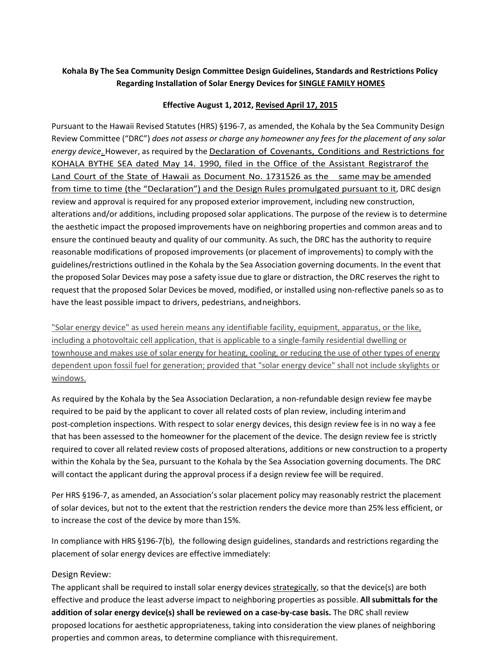## **Kohala By The Sea Community Design Committee Design Guidelines, Standards and Restrictions Policy Regarding Installation of Solar Energy Devices for SINGLE FAMILY HOMES**

## **Effective August 1, 2012, Revised April 17, 2015**

Pursuant to the Hawaii Revised Statutes (HRS) §196‐7, as amended, the Kohala by the Sea Community Design Review Committee ("DRC") *does not assess or charge any homeowner any fees for the placement of any solar energy device*. However, as required by the Declaration of Covenants, Conditions and Restrictions for KOHALA BYTHE SEA dated May 14. 1990, filed in the Office of the Assistant Registrarof the Land Court of the State of Hawaii as Document No. 1731526 as the same may be amended from time to time (the "Declaration") and the Design Rules promulgated pursuant to it, DRC design review and approval is required for any proposed exterior improvement, including new construction, alterations and/or additions, including proposed solar applications. The purpose of the review is to determine the aesthetic impact the proposed improvements have on neighboring properties and common areas and to ensure the continued beauty and quality of our community. As such, the DRC has the authority to require reasonable modifications of proposed improvements (or placement of improvements) to comply with the guidelines/restrictions outlined in the Kohala by the Sea Association governing documents. In the event that the proposed Solar Devices may pose a safety issue due to glare or distraction, the DRC reserves the right to request that the proposed Solar Devices be moved, modified, or installed using non‐reflective panels so as to have the least possible impact to drivers, pedestrians, andneighbors.

"Solar energy device" as used herein means any identifiable facility, equipment, apparatus, or the like, including a photovoltaic cell application, that is applicable to a single-family residential dwelling or townhouse and makes use of solar energy for heating, cooling, or reducing the use of other types of energy dependent upon fossil fuel for generation; provided that "solar energy device" shall not include skylights or windows.

As required by the Kohala by the Sea Association Declaration, a non-refundable design review fee may be required to be paid by the applicant to cover all related costs of plan review, including interimand post-completion inspections. With respect to solar energy devices, this design review fee is in no way a fee that has been assessed to the homeowner for the placement of the device. The design review fee is strictly required to cover all related review costs of proposed alterations, additions or new construction to a property within the Kohala by the Sea, pursuant to the Kohala by the Sea Association governing documents. The DRC will contact the applicant during the approval process if a design review fee will be required.

Per HRS §196‐7, as amended, an Association's solar placement policy may reasonably restrict the placement of solar devices, but not to the extent that the restriction renders the device more than 25% less efficient, or to increase the cost of the device by more than15%.

In compliance with HRS §196-7(b), the following design guidelines, standards and restrictions regarding the placement of solar energy devices are effective immediately:

## Design Review:

The applicant shall be required to install solar energy devices strategically, so that the device(s) are both effective and produce the least adverse impact to neighboring properties as possible. **All submittals for the addition of solar energy device(s) shall be reviewed on a case‐by‐case basis.** The DRC shall review proposed locations for aesthetic appropriateness, taking into consideration the view planes of neighboring properties and common areas, to determine compliance with thisrequirement.